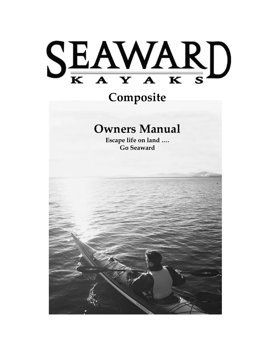# SEAWARD

# **Composite**

# **Owners Manual**

**Escape life on land …. Go Seaward**

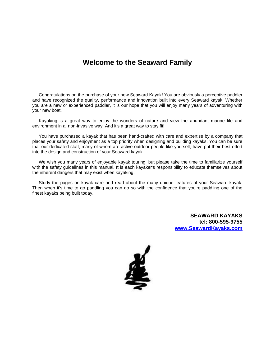## **Welcome to the Seaward Family**

Congratulations on the purchase of your new Seaward Kayak! You are obviously a perceptive paddler and have recognized the quality, performance and innovation built into every Seaward kayak. Whether you are a new or experienced paddler, it is our hope that you will enjoy many years of adventuring with your new boat.

Kayaking is a great way to enjoy the wonders of nature and view the abundant marine life and environment in a non-invasive way. And it's a great way to stay fit!

You have purchased a kayak that has been hand-crafted with care and expertise by a company that places your safety and enjoyment as a top priority when designing and building kayaks. You can be sure that our dedicated staff, many of whom are active outdoor people like yourself, have put their best effort into the design and construction of your Seaward kayak.

We wish you many years of enjoyable kayak touring, but please take the time to familiarize yourself with the safety guidelines in this manual. It is each kayaker's responsibility to educate themselves about the inherent dangers that may exist when kayaking.

Study the pages on kayak care and read about the many unique features of your Seaward kayak. Then when it's time to go paddling you can do so with the confidence that you're paddling one of the finest kayaks being built today.

> **SEAWARD KAYAKS tel: 800-595-9755 [www.SeawardKayaks.com](http://www.seawardkayaks.com/)**

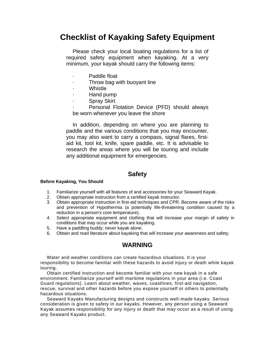## **Checklist of Kayaking Safety Equipment**

Please check your local boating regulations for a list of required safety equipment when kayaking. At a very minimum, your kayak should carry the following items:

- Paddle float
- Throw bag with buoyant line
- **Whistle**
- · Hand pump
- Spray Skirt

Personal Flotation Device (PFD) should always be worn whenever you leave the shore

In addition, depending on where you are planning to paddle and the various conditions that you may encounter, you may also want to carry a compass, signal flares, firstaid kit, tool kit, knife, spare paddle, etc. It is advisable to research the areas where you will be touring and include any additional equipment for emergencies.

#### **Safety**

#### **Before Kayaking, You Should**

- 1. Familiarize yourself with all features of and accessories for your Seaward Kayak.
- 2. Obtain appropriate instruction from a certified kayak instructor.
- 3. Obtain appropriate instruction in first-aid techniques and CPR. Become aware of the risks and prevention of Hypothermia (a potentially life-threatening condition caused by a reduction in a person's core temperature).
- 4. Select appropriate equipment and clothing that will increase your margin of safety in conditions that may occur while you are kayaking.
- 5. Have a paddling buddy; never kayak alone.
- 6. Obtain and read literature about kayaking that will increase your awareness and safety.

#### **WARNING**

Water and weather conditions can create hazardous situations. It is your responsibility to become familiar with these hazards to avoid injury or death while kayak touring.

Obtain certified instruction and become familiar with your new kayak in a safe environment. Familiarize yourself with maritime regulations in your area (i.e. Coast Guard regulations). Learn about weather, waves, coastlines, first-aid navigation, rescue, survival and other hazards before you expose yourself or others to potentially hazardous situations.

Seaward Kayaks Manufacturing designs and constructs well-made kayaks. Serious consideration is given to safety in our kayaks. However, any person using a Seaward Kayak assumes responsibility for any injury or death that may occur as a result of using any Seaward Kayaks product.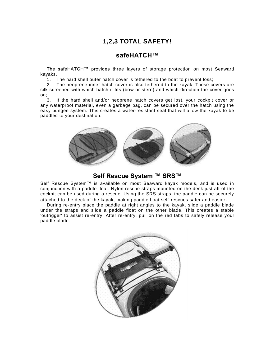## **1,2,3 TOTAL SAFETY!**

#### **safeHATCH™**

The safeHATCH™ provides three layers of storage protection on most Seaward kayaks.

1. The hard shell outer hatch cover is tethered to the boat to prevent loss;

2. The neoprene inner hatch cover is also tethered to the kayak. These covers are silk-screened with which hatch it fits (bow or stern) and which direction the cover goes on;

3. If the hard shell and/or neoprene hatch covers get lost, your cockpit cover or any waterproof material, even a garbage bag, can be secured over the hatch using the easy bungee system. This creates a water-resistant seal that will allow the kayak to be paddled to your destination.



**Self Rescue System ™ SRS™**

Self Rescue System™ is available on most Seaward kayak models, and is used in conjunction with a paddle float. Nylon rescue straps mounted on the deck just aft of the cockpit can be used during a rescue. Using the SRS straps, the paddle can be securely attached to the deck of the kayak, making paddle float self-rescues safer and easier.

During re-entry place the paddle at right angles to the kayak, slide a paddle blade under the straps and slide a paddle float on the other blade. This creates a stable 'outrigger' to assist re-entry. After re-entry, pull on the red tabs to safely release your paddle blade.

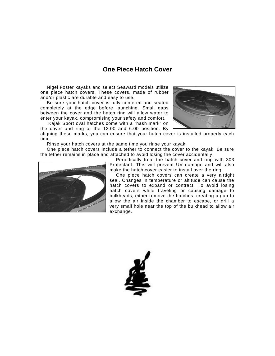#### **One Piece Hatch Cover**

Nigel Foster kayaks and select Seaward models utilize one piece hatch covers. These covers, made of rubber and/or plastic are durable and easy to use.

Be sure your hatch cover is fully centered and seated completely at the edge before launching. Small gaps between the cover and the hatch ring will allow water to enter your kayak, compromising your safety and comfort.

Kajak Sport oval hatches come with a "hash mark" on the cover and ring at the 12:00 and 6:00 position. By



aligning these marks, you can ensure that your hatch cover is installed properly each time.

Rinse your hatch covers at the same time you rinse your kayak.

One piece hatch covers include a tether to connect the cover to the kayak. Be sure the tether remains in place and attached to avoid losing the cover accidentally.



Periodically treat the hatch cover and ring with 303 Protectant. This will prevent UV damage and will also make the hatch cover easier to install over the ring.

One piece hatch covers can create a very airtight seal. Changes in temperature or altitude can cause the hatch covers to expand or contract. To avoid losing hatch covers while traveling or causing damage to bulkheads, either remove the hatches, creating a gap to allow the air inside the chamber to escape, or drill a very small hole near the top of the bulkhead to allow air exchange.

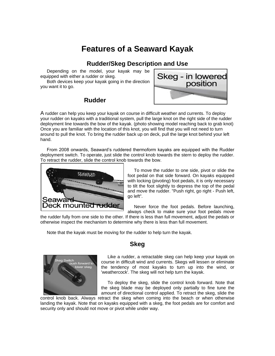# **Features of a Seaward Kayak**

#### **Rudder/Skeg Description and Use**

Depending on the model, your kayak may be equipped with either a rudder or skeg.

Both devices keep your kayak going in the direction you want it to go.



#### **Rudder**

A rudder can help you keep your kayak on course in difficult weather and currents. To deploy your rudder on kayaks with a traditional system, pull the large knot on the right side of the rudder deployment line towards the bow of the kayak. (photo showing model reaching back to grab knot) Once you are familiar with the location of this knot, you will find that you will not need to turn around to pull the knot. To bring the rudder back up on deck, pull the large knot behind your left hand.

From 2008 onwards, Seaward's ruddered thermoform kayaks are equipped with the Rudder deployment switch. To operate, just slide the control knob towards the stern to deploy the rudder. To retract the rudder, slide the control knob towards the bow.



To move the rudder to one side, pivot or slide the foot pedal on that side forward. On kayaks equipped with locking (pivoting) foot pedals, it is only necessary to tilt the foot slightly to depress the top of the pedal and move the rudder. "Push right, go right - Push left, go left".

Never force the foot pedals. Before launching, always check to make sure your foot pedals move

the rudder fully from one side to the other. If there is less than full movement, adjust the pedals or otherwise inspect the mechanism to determine why there is less than full movement.

Note that the kayak must be moving for the rudder to help turn the kayak.



#### **Skeg**

Like a rudder, a retractable skeg can help keep your kayak on course in difficult wind and currents. Skegs will lessen or eliminate the tendency of most kayaks to turn up into the wind, or 'weathercock'. The skeg will not help turn the kayak.

To deploy the skeg, slide the control knob forward. Note that the skeg blade may be deployed only partially to fine tune the amount of directional control applied. To retract the skeg, slide the

control knob back. Always retract the skeg when coming into the beach or when otherwise landing the kayak. Note that on kayaks equipped with a skeg, the foot pedals are for comfort and security only and should not move or pivot while under way.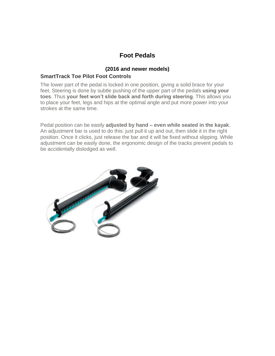#### **Foot Pedals**

#### **(2016 and newer models)**

#### **SmartTrack Toe Pilot Foot Controls**

The lower part of the pedal is locked in one position, giving a solid brace for your feet. Steering is done by subtle pushing of the upper part of the pedals **using your toes**. Thus **your feet won't slide back and forth during steering**. This allows you to place your feet, legs and hips at the optimal angle and put more power into your strokes at the same time.

Pedal position can be easily **adjusted by hand – even while seated in the kayak**. An adjustment bar is used to do this: just pull it up and out, then slide it in the right position. Once it clicks, just release the bar and it will be fixed without slipping. While adjustment can be easily done, the ergonomic design of the tracks prevent pedals to be accidentally dislodged as well.

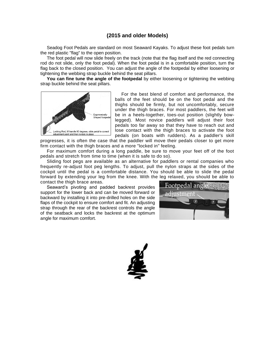#### **(2015 and older Models)**

Seadog Foot Pedals are standard on most Seaward Kayaks. To adjust these foot pedals turn the red plastic "flag" to the open position.

The foot pedal will now slide freely on the track (note that the flag itself and the red connecting rod do not slide, only the foot pedal). When the foot pedal is in a comfortable position, turn the flag back to the closed position. You can adjust the angle of the footpedal by either loosening or tightening the webbing strap buckle behind the seat pillars.

**You can fine tune the angle of the footpedal** by either loosening or tightening the webbing strap buckle behind the seat pillars.



For the best blend of comfort and performance, the balls of the feet should be on the foot pedal and the thighs should be firmly, but not uncomfortably, secure under the thigh braces. For most paddlers, the feet will be in a heels-together, toes-out position (slightly bowlegged). Most novice paddlers will adjust their foot pedals too far away so that they have to reach out and lose contact with the thigh braces to activate the foot pedals (on boats with rudders). As a paddler's skill

progresses, it is often the case that the paddler will move their pedals closer to get more firm contact with the thigh braces and a more "locked in" feeling.

For maximum comfort during a long paddle, be sure to move your feet off of the foot pedals and stretch from time to time (when it is safe to do so).

Sliding foot pegs are available as an alternative for paddlers or rental companies who frequently re-adjust foot peg lengths. To adjust, pull the nylon straps at the sides of the cockpit until the pedal is a comfortable distance. You should be able to slide the pedal forward by extending your leg from the knee. With the leg relaxed, you should be able to contact the thigh brace areas.

Seaward's pivoting and padded backrest provides support for the lower back and can be moved forward or backward by installing it into pre-drilled holes on the side flaps of the cockpit to ensure comfort and fit. An adjusting strap through the rear of the backrest controls the angle of the seatback and locks the backrest at the optimum angle for maximum comfort.



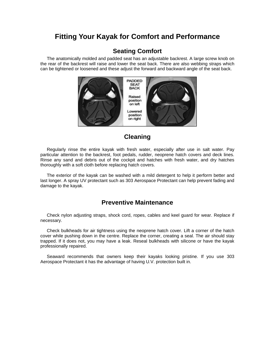### **Fitting Your Kayak for Comfort and Performance**

#### **Seating Comfort**

The anatomically molded and padded seat has an adjustable backrest. A large screw knob on the rear of the backrest will raise and lower the seat back. There are also webbing straps which can be tightened or loosened and these adjust the forward and backward angle of the seat back.



#### **Cleaning**

Regularly rinse the entire kayak with fresh water, especially after use in salt water. Pay particular attention to the backrest, foot pedals, rudder, neoprene hatch covers and deck lines. Rinse any sand and debris out of the cockpit and hatches with fresh water, and dry hatches thoroughly with a soft cloth before replacing hatch covers.

The exterior of the kayak can be washed with a mild detergent to help it perform better and last longer. A spray UV protectant such as 303 Aerospace Protectant can help prevent fading and damage to the kayak.

#### **Preventive Maintenance**

Check nylon adjusting straps, shock cord, ropes, cables and keel guard for wear. Replace if necessary.

Check bulkheads for air tightness using the neoprene hatch cover. Lift a corner of the hatch cover while pushing down in the centre. Replace the corner, creating a seal. The air should stay trapped. If it does not, you may have a leak. Reseal bulkheads with silicone or have the kayak professionally repaired.

Seaward recommends that owners keep their kayaks looking pristine. If you use 303 Aerospace Protectant it has the advantage of having U.V. protection built in.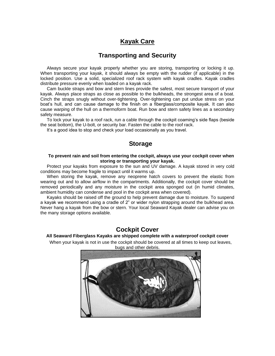#### **Kayak Care**

#### **Transporting and Security**

Always secure your kayak properly whether you are storing, transporting or locking it up. When transporting your kayak, it should always be empty with the rudder (if applicable) in the locked position. Use a solid, specialized roof rack system with kayak cradles. Kayak cradles distribute pressure evenly when loaded on a kayak rack.

Cam buckle straps and bow and stern lines provide the safest, most secure transport of your kayak. Always place straps as close as possible to the bulkheads, the strongest area of a boat. Cinch the straps snugly without over-tightening. Over-tightening can put undue stress on your boat's hull, and can cause damage to the finish on a fiberglass/composite kayak. It can also cause warping of the hull on a thermoform boat. Run bow and stern safety lines as a secondary safety measure.

To lock your kayak to a roof rack, run a cable through the cockpit coaming's side flaps (beside the seat bottom), the U-bolt, or security bar. Fasten the cable to the roof rack.

It's a good idea to stop and check your load occasionally as you travel.

#### **Storage**

#### **To prevent rain and soil from entering the cockpit, always use your cockpit cover when storing or transporting your kayak.**

Protect your kayaks from exposure to the sun and UV damage. A kayak stored in very cold conditions may become fragile to impact until it warms up.

When storing the kayak, remove any neoprene hatch covers to prevent the elastic from wearing out and to allow airflow in the compartments. Additionally, the cockpit cover should be removed periodically and any moisture in the cockpit area sponged out (in humid climates, ambient humidity can condense and pool in the cockpit area when covered).

Kayaks should be raised off the ground to help prevent damage due to moisture. To suspend a kayak we recommend using a cradle of 2" or wider nylon strapping around the bulkhead area. Never hang a kayak from the bow or stern. Your local Seaward Kayak dealer can advise you on the many storage options available.

#### **Cockpit Cover**

#### **All Seaward Fiberglass Kayaks are shipped complete with a waterproof cockpit cover**

When your kayak is not in use the cockpit should be covered at all times to keep out leaves,